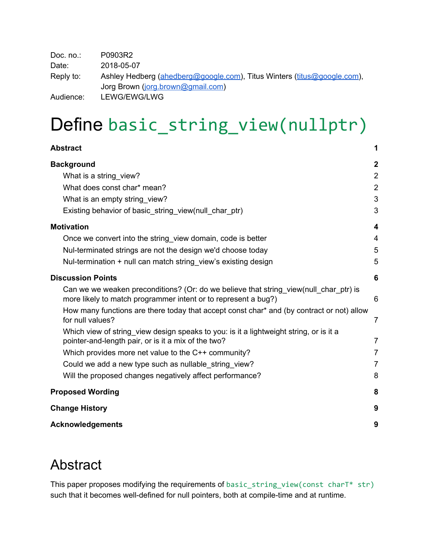Doc. no.: P0903R2 Date: 2018-05-07 Reply to: Ashley Hedberg ([ahedberg@google.com\)](mailto:ahedberg@google.com), Titus Winters ([titus@google.com](mailto:titus@google.com)), Jorg Brown [\(jorg.brown@gmail.com\)](mailto:jorg.brown@gmail.com) Audience: LEWG/EWG/LWG

# Define basic\_string\_view(nullptr)

| Abstract                                                                                                                                                | 1                |
|---------------------------------------------------------------------------------------------------------------------------------------------------------|------------------|
| <b>Background</b>                                                                                                                                       | $\boldsymbol{2}$ |
| What is a string view?                                                                                                                                  | $\overline{2}$   |
| What does const char* mean?                                                                                                                             | $\overline{2}$   |
| What is an empty string view?                                                                                                                           | 3                |
| Existing behavior of basic_string_view(null_char_ptr)                                                                                                   | 3                |
| <b>Motivation</b>                                                                                                                                       | 4                |
| Once we convert into the string view domain, code is better                                                                                             | 4                |
| Nul-terminated strings are not the design we'd choose today                                                                                             | 5                |
| Nul-termination + null can match string view's existing design                                                                                          | 5                |
| <b>Discussion Points</b>                                                                                                                                | 6                |
| Can we we weaken preconditions? (Or: do we believe that string view(null char ptr) is<br>more likely to match programmer intent or to represent a bug?) | 6                |
| How many functions are there today that accept const char* and (by contract or not) allow<br>for null values?                                           | $\overline{7}$   |
| Which view of string view design speaks to you: is it a lightweight string, or is it a<br>pointer-and-length pair, or is it a mix of the two?           | $\overline{7}$   |
| Which provides more net value to the C++ community?                                                                                                     | $\overline{7}$   |
| Could we add a new type such as nullable string view?                                                                                                   | $\overline{7}$   |
| Will the proposed changes negatively affect performance?                                                                                                | 8                |
| <b>Proposed Wording</b>                                                                                                                                 | 8                |
| <b>Change History</b>                                                                                                                                   | 9                |
| <b>Acknowledgements</b>                                                                                                                                 | 9                |

### <span id="page-0-0"></span>Abstract

This paper proposes modifying the requirements of basic\_string\_view(const charT\* str) such that it becomes well-defined for null pointers, both at compile-time and at runtime.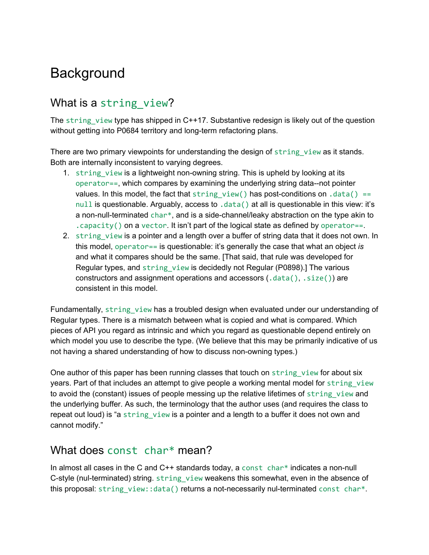## <span id="page-1-0"></span>**Background**

### <span id="page-1-1"></span>What is a string view?

The string view type has shipped in  $C++17$ . Substantive redesign is likely out of the question without getting into P0684 territory and long-term refactoring plans.

There are two primary viewpoints for understanding the design of string view as it stands. Both are internally inconsistent to varying degrees.

- 1. string view is a lightweight non-owning string. This is upheld by looking at its operator==, which compares by examining the underlying string data--not pointer values. In this model, the fact that string view() has post-conditions on .data() == null is questionable. Arguably, access to .data() at all is questionable in this view: it's a non-null-terminated char<sup>\*</sup>, and is a side-channel/leaky abstraction on the type akin to . capacity() on a vector. It isn't part of the logical state as defined by operator==.
- 2. string view is a pointer and a length over a buffer of string data that it does not own. In this model, operator== is questionable: it's generally the case that what an object *is* and what it compares should be the same. [That said, that rule was developed for Regular types, and string\_view is decidedly not Regular (P0898).] The various constructors and assignment operations and accessors  $(.data(), .size())$  are consistent in this model.

Fundamentally, string view has a troubled design when evaluated under our understanding of Regular types. There is a mismatch between what is copied and what is compared. Which pieces of API you regard as intrinsic and which you regard as questionable depend entirely on which model you use to describe the type. (We believe that this may be primarily indicative of us not having a shared understanding of how to discuss non-owning types.)

One author of this paper has been running classes that touch on string view for about six years. Part of that includes an attempt to give people a working mental model for string view to avoid the (constant) issues of people messing up the relative lifetimes of string view and the underlying buffer. As such, the terminology that the author uses (and requires the class to repeat out loud) is "a string\_view is a pointer and a length to a buffer it does not own and cannot modify."

#### <span id="page-1-2"></span>What does const char\* mean?

In almost all cases in the C and  $C++$  standards today, a const char\* indicates a non-null C-style (nul-terminated) string. string view weakens this somewhat, even in the absence of this proposal: string\_view::data() returns a not-necessarily nul-terminated const char\*.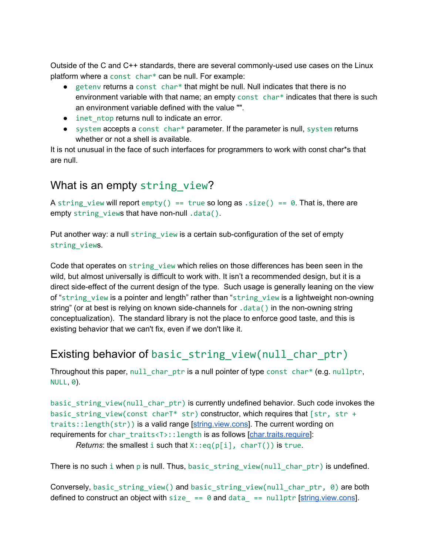Outside of the C and C++ standards, there are several commonly-used use cases on the Linux platform where a const char\* can be null. For example:

- $\bullet$  getenv returns a const char\* that might be null. Null indicates that there is no environment variable with that name; an empty const char\* indicates that there is such an environment variable defined with the value "".
- inet ntop returns null to indicate an error.
- $\bullet$  system accepts a const char\* parameter. If the parameter is null, system returns whether or not a shell is available.

It is not unusual in the face of such interfaces for programmers to work with const char\*s that are null.

#### <span id="page-2-0"></span>What is an empty string view?

A string view will report  $empty() == true so long as .size() == 0$ . That is, there are empty string\_views that have non-null .data().

Put another way: a null string view is a certain sub-configuration of the set of empty string\_views.

Code that operates on string\_view which relies on those differences has been seen in the wild, but almost universally is difficult to work with. It isn't a recommended design, but it is a direct side-effect of the current design of the type. Such usage is generally leaning on the view of "string view is a pointer and length" rather than "string view is a lightweight non-owning string" (or at best is relying on known side-channels for .data() in the non-owning string conceptualization). The standard library is not the place to enforce good taste, and this is existing behavior that we can't fix, even if we don't like it.

### <span id="page-2-1"></span>Existing behavior of basic\_string\_view(null\_char\_ptr)

Throughout this paper, null char ptr is a null pointer of type const char\* (e.g. nullptr, NULL, 0).

basic\_string\_view(null\_char\_ptr) is currently undefined behavior. Such code invokes the basic string view(const charT\* str) constructor, which requires that  $[str, str +$ traits::length(str)) is a valid range [[string.view.cons](http://wg21.link/string.view.cons)]. The current wording on requirements for char\_traits<T>::length is as follows [\[char.traits.require\]](http://wg21.link/char.traits.require):

*Returns*: the smallest i such that  $X:eq(p[i], charT())$  is true.

There is no such i when p is null. Thus, basic\_string\_view(null\_char\_ptr) is undefined.

Conversely, basic\_string\_view() and basic\_string\_view(null\_char\_ptr, 0) are both defined to construct an object with size  $\equiv 0$  and data  $\equiv$  nullptr [[string.view.cons](http://wg21.link/string.view.cons)].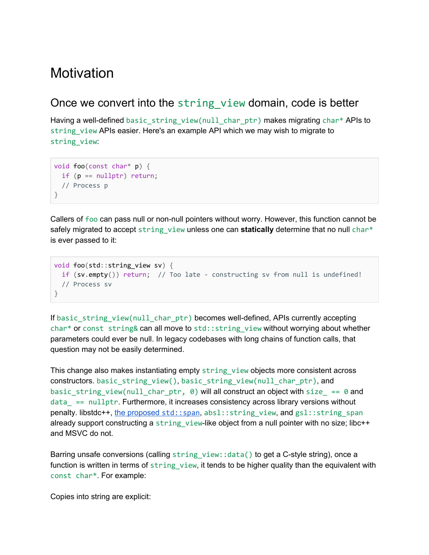### <span id="page-3-0"></span>**Motivation**

#### <span id="page-3-1"></span>Once we convert into the string view domain, code is better

Having a well-defined basic\_string\_view(null\_char\_ptr) makes migrating char\* APIs to string\_view APIs easier. Here's an example API which we may wish to migrate to string\_view:

```
void foo(const char* p) {
 if (p == nullptr) return;
 // Process p
}
```
Callers of foo can pass null or non-null pointers without worry. However, this function cannot be safely migrated to accept string view unless one can **statically** determine that no null char\* is ever passed to it:

```
void foo(std::string_view sv) {
 if (sv.empty()) return; // Too late - constructing sv from null is undefined!
 // Process sv
}
```
If basic\_string\_view(null\_char\_ptr) becomes well-defined, APIs currently accepting char\* or const string& can all move to std:: string view without worrying about whether parameters could ever be null. In legacy codebases with long chains of function calls, that question may not be easily determined.

This change also makes instantiating empty string view objects more consistent across constructors. basic\_string\_view(), basic\_string\_view(null\_char\_ptr), and basic\_string\_view(null\_char\_ptr,  $\theta$ ) will all construct an object with size\_ == 0 and  $data$  ==  $nullptr$ . Furthermore, it increases consistency across library versions without penalty. libstdc++, the [proposed](http://wg21.link/p0122) [std::span](http://wg21.link/p0122), absl::string\_view, and gsl::string\_span already support constructing a string view-like object from a null pointer with no size; libc++ and MSVC do not.

Barring unsafe conversions (calling string view::data() to get a C-style string), once a function is written in terms of string view, it tends to be higher quality than the equivalent with const char\*. For example:

Copies into string are explicit: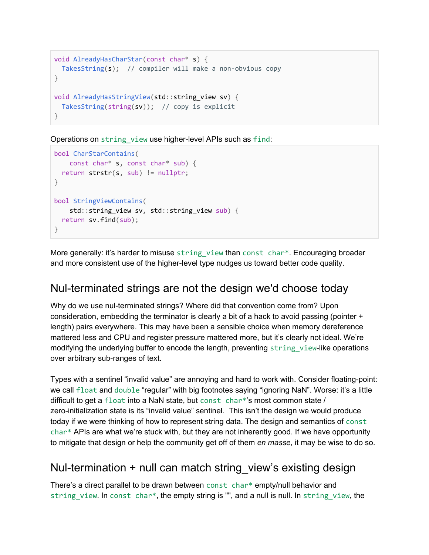```
void AlreadyHasCharStar(const char* s) {
 TakesString(s); // compiler will make a non-obvious copy
}
void AlreadyHasStringView(std::string_view sv) {
 TakesString(string(sv)); // copy is explicit
}
```
Operations on string view use higher-level APIs such as find:

```
bool CharStarContains(
   const char* s, const char* sub) {
 return strstr(s, sub) != nullptr;
}
bool StringViewContains(
   std::string_view sv, std::string_view sub) {
 return sv.find(sub);
}
```
More generally: it's harder to misuse string view than const char\*. Encouraging broader and more consistent use of the higher-level type nudges us toward better code quality.

#### <span id="page-4-0"></span>Nul-terminated strings are not the design we'd choose today

Why do we use nul-terminated strings? Where did that convention come from? Upon consideration, embedding the terminator is clearly a bit of a hack to avoid passing (pointer + length) pairs everywhere. This may have been a sensible choice when memory dereference mattered less and CPU and register pressure mattered more, but it's clearly not ideal. We're modifying the underlying buffer to encode the length, preventing string view-like operations over arbitrary sub-ranges of text.

Types with a sentinel "invalid value" are annoying and hard to work with. Consider floating-point: we call float and double "regular" with big footnotes saying "ignoring NaN". Worse: it's a little difficult to get a float into a NaN state, but const char\*'s most common state / zero-initialization state is its "invalid value" sentinel. This isn't the design we would produce today if we were thinking of how to represent string data. The design and semantics of const char\* APIs are what we're stuck with, but they are not inherently good. If we have opportunity to mitigate that design or help the community get off of them *en masse*, it may be wise to do so.

#### <span id="page-4-1"></span>Nul-termination + null can match string\_view's existing design

There's a direct parallel to be drawn between const char\* empty/null behavior and string\_view. In const char\*, the empty string is "", and a null is null. In string\_view, the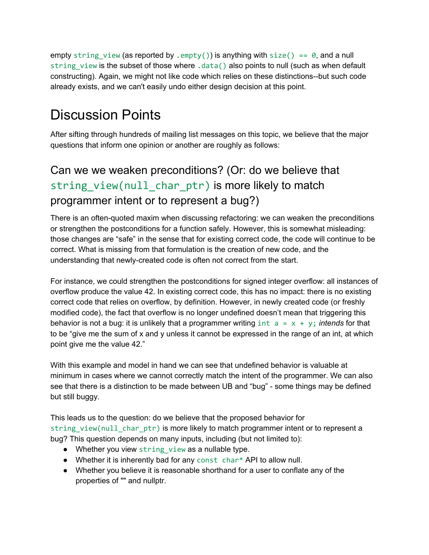empty string view (as reported by . empty()) is anything with size() == 0, and a null string view is the subset of those where .data() also points to null (such as when default constructing). Again, we might not like code which relies on these distinctions--but such code already exists, and we can't easily undo either design decision at this point.

## <span id="page-5-0"></span>Discussion Points

After sifting through hundreds of mailing list messages on this topic, we believe that the major questions that inform one opinion or another are roughly as follows:

### <span id="page-5-1"></span>Can we we weaken preconditions? (Or: do we believe that string view(null char ptr) is more likely to match programmer intent or to represent a bug?)

There is an often-quoted maxim when discussing refactoring: we can weaken the preconditions or strengthen the postconditions for a function safely. However, this is somewhat misleading: those changes are "safe" in the sense that for existing correct code, the code will continue to be correct. What is missing from that formulation is the creation of new code, and the understanding that newly-created code is often not correct from the start.

For instance, we could strengthen the postconditions for signed integer overflow: all instances of overflow produce the value 42. In existing correct code, this has no impact: there is no existing correct code that relies on overflow, by definition. However, in newly created code (or freshly modified code), the fact that overflow is no longer undefined doesn't mean that triggering this behavior is not a bug: it is unlikely that a programmer writing  $int a = x + y$ ; *intends* for that to be "give me the sum of x and y unless it cannot be expressed in the range of an int, at which point give me the value 42."

With this example and model in hand we can see that undefined behavior is valuable at minimum in cases where we cannot correctly match the intent of the programmer. We can also see that there is a distinction to be made between UB and "bug" - some things may be defined but still buggy.

This leads us to the question: do we believe that the proposed behavior for string view(null char ptr) is more likely to match programmer intent or to represent a bug? This question depends on many inputs, including (but not limited to):

- Whether you view string\_view as a nullable type.
- Whether it is inherently bad for any const char\* API to allow null.
- Whether you believe it is reasonable shorthand for a user to conflate any of the properties of "" and nullptr.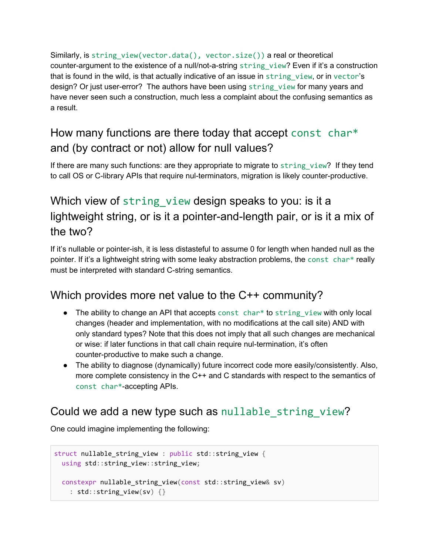Similarly, is string\_view(vector.data(), vector.size()) a real or theoretical counter-argument to the existence of a null/not-a-string string view? Even if it's a construction that is found in the wild, is that actually indicative of an issue in string view, or in vector's design? Or just user-error? The authors have been using string view for many years and have never seen such a construction, much less a complaint about the confusing semantics as a result.

### <span id="page-6-0"></span>How many functions are there today that accept const char\* and (by contract or not) allow for null values?

If there are many such functions: are they appropriate to migrate to string view? If they tend to call OS or C-library APIs that require nul-terminators, migration is likely counter-productive.

### <span id="page-6-1"></span>Which view of string view design speaks to you: is it a lightweight string, or is it a pointer-and-length pair, or is it a mix of the two?

If it's nullable or pointer-ish, it is less distasteful to assume 0 for length when handed null as the pointer. If it's a lightweight string with some leaky abstraction problems, the const char\* really must be interpreted with standard C-string semantics.

### <span id="page-6-2"></span>Which provides more net value to the C++ community?

- $\bullet$  The ability to change an API that accepts const char\* to string view with only local changes (header and implementation, with no modifications at the call site) AND with only standard types? Note that this does not imply that all such changes are mechanical or wise: if later functions in that call chain require nul-termination, it's often counter-productive to make such a change.
- The ability to diagnose (dynamically) future incorrect code more easily/consistently. Also, more complete consistency in the C++ and C standards with respect to the semantics of const char\*-accepting APIs.

### <span id="page-6-3"></span>Could we add a new type such as nullable string view?

One could imagine implementing the following:

```
struct nullable_string_view : public std::string_view {
 using std::string_view::string_view;
 constexpr nullable_string_view(const std::string_view& sv)
   : std::string_view(sv) {}
```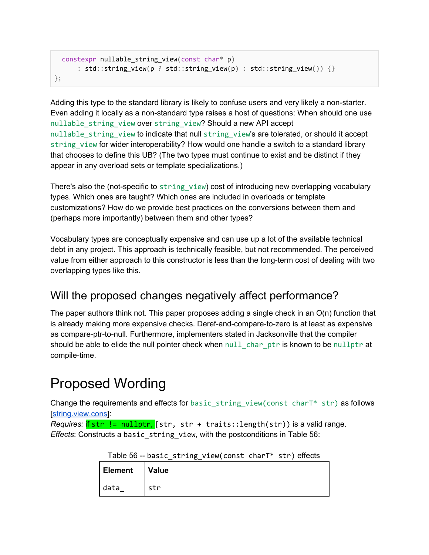```
constexpr nullable string view(const char* p)
      : std::string_view(p ? std::string_view(p) : std::string_view()) {}
};
```
Adding this type to the standard library is likely to confuse users and very likely a non-starter. Even adding it locally as a non-standard type raises a host of questions: When should one use nullable\_string\_view over string\_view? Should a new API accept nullable string view to indicate that null string view's are tolerated, or should it accept string view for wider interoperability? How would one handle a switch to a standard library that chooses to define this UB? (The two types must continue to exist and be distinct if they appear in any overload sets or template specializations.)

There's also the (not-specific to string view) cost of introducing new overlapping vocabulary types. Which ones are taught? Which ones are included in overloads or template customizations? How do we provide best practices on the conversions between them and (perhaps more importantly) between them and other types?

Vocabulary types are conceptually expensive and can use up a lot of the available technical debt in any project. This approach is technically feasible, but not recommended. The perceived value from either approach to this constructor is less than the long-term cost of dealing with two overlapping types like this.

### <span id="page-7-0"></span>Will the proposed changes negatively affect performance?

The paper authors think not. This paper proposes adding a single check in an O(n) function that is already making more expensive checks. Deref-and-compare-to-zero is at least as expensive as compare-ptr-to-null. Furthermore, implementers stated in Jacksonville that the compiler should be able to elide the null pointer check when null char ptr is known to be nullptr at compile-time.

## <span id="page-7-1"></span>Proposed Wording

Change the requirements and effects for basic string view(const charT\* str) as follows [\[string.view.cons](http://wg21.link/string.view.cons)]:

*Requires:* if str != nullptr, [str, str + traits::length(str)) is a valid range. *Effects*: Constructs a basic\_string\_view, with the postconditions in Table 56:

| Element | ___________<br><b>Value</b> |
|---------|-----------------------------|
| data    | str                         |

Table 56 -- basic\_string\_view(const charT\* str) effects